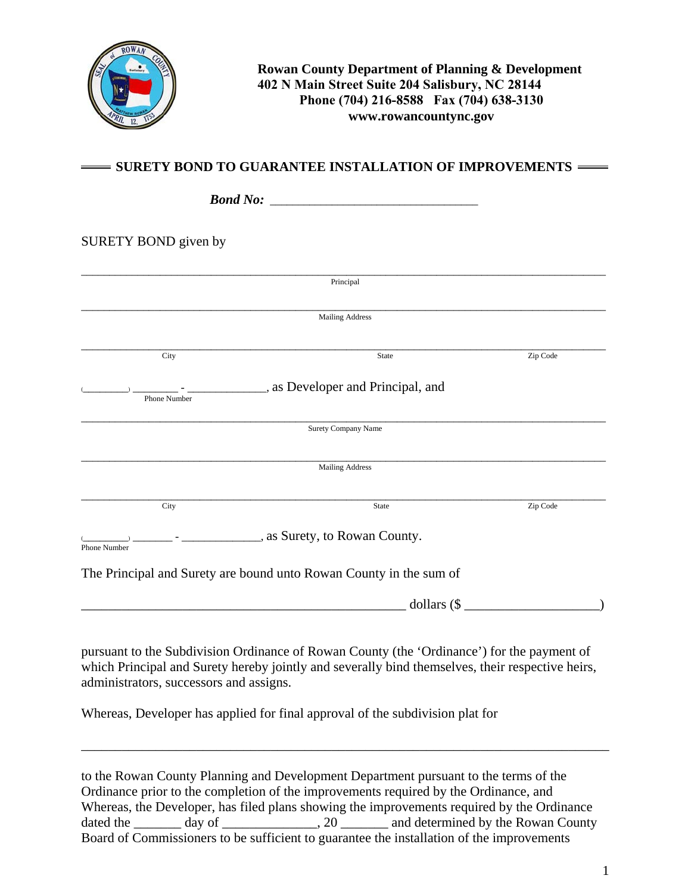

## $=$  SURETY BOND TO GUARANTEE INSTALLATION OF IMPROVEMENTS  $=$

| SURETY BOND given by |                                 |          |
|----------------------|---------------------------------|----------|
|                      |                                 |          |
|                      | Principal                       |          |
|                      |                                 |          |
|                      | <b>Mailing Address</b>          |          |
| City                 | State                           | Zip Code |
|                      | as Developer and Principal, and |          |
| Phone Number         |                                 |          |
|                      | <b>Surety Company Name</b>      |          |
|                      | <b>Mailing Address</b>          |          |
| City                 | State                           | Zip Code |
|                      | as Surety, to Rowan County.     |          |

 $\text{dollars } (\text{\$}$ 

pursuant to the Subdivision Ordinance of Rowan County (the 'Ordinance') for the payment of which Principal and Surety hereby jointly and severally bind themselves, their respective heirs, administrators, successors and assigns.

Whereas, Developer has applied for final approval of the subdivision plat for

to the Rowan County Planning and Development Department pursuant to the terms of the Ordinance prior to the completion of the improvements required by the Ordinance, and Whereas, the Developer, has filed plans showing the improvements required by the Ordinance dated the \_\_\_\_\_\_ day of \_\_\_\_\_\_\_\_\_\_\_, 20 \_\_\_\_\_\_\_ and determined by the Rowan County Board of Commissioners to be sufficient to guarantee the installation of the improvements

\_\_\_\_\_\_\_\_\_\_\_\_\_\_\_\_\_\_\_\_\_\_\_\_\_\_\_\_\_\_\_\_\_\_\_\_\_\_\_\_\_\_\_\_\_\_\_\_\_\_\_\_\_\_\_\_\_\_\_\_\_\_\_\_\_\_\_\_\_\_\_\_\_\_\_\_\_\_